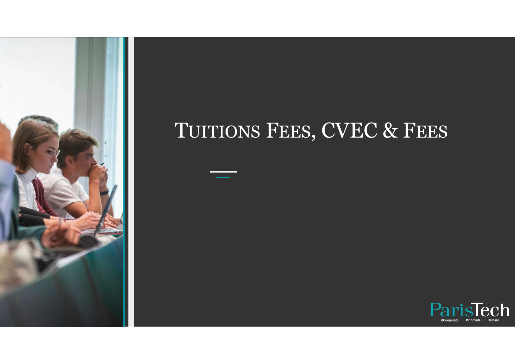

## TUITIONS FEES, CVEC & FEES

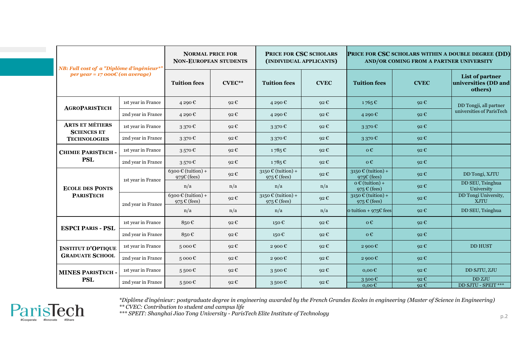| NB: Full cost of a "Diplôme d'ingénieur*"<br>per year = $17000C$ (on average) |                    | <b>NORMAL PRICE FOR</b><br><b>NON-EUROPEAN STUDENTS</b>            |                   | PRICE FOR CSC SCHOLARS<br>(INDIVIDUAL APPLICANTS)              |                   | PRICE FOR CSC SCHOLARS WITHIN A DOUBLE DEGREE (DD)<br>AND/OR COMING FROM A PARTNER UNIVERSITY |                   |                                                               |
|-------------------------------------------------------------------------------|--------------------|--------------------------------------------------------------------|-------------------|----------------------------------------------------------------|-------------------|-----------------------------------------------------------------------------------------------|-------------------|---------------------------------------------------------------|
|                                                                               |                    |                                                                    |                   |                                                                |                   |                                                                                               |                   |                                                               |
|                                                                               |                    | <b>Tuition fees</b>                                                | $CVEC**$          | <b>Tuition fees</b>                                            | <b>CVEC</b>       | <b>Tuition fees</b>                                                                           | <b>CVEC</b>       | List of partner<br>universities (DD and<br>others)            |
| <b>AGROPARISTECH</b>                                                          | 1st year in France | 4 290 €                                                            | 92€               | 4 290 €                                                        | 92 $\varepsilon$  | $1765 \,\mathrm{C}$                                                                           | $92 \text{ } \in$ | DD Tongji, all partner<br>universities of ParisTech           |
|                                                                               | 2nd year in France | 4 290€                                                             | $92 \text{ } \in$ | 4 290€                                                         | $92 \text{ } \in$ | 4290€                                                                                         | $92 \text{ } \in$ |                                                               |
| <b>ARTS ET MÉTIERS</b><br><b>SCIENCES ET</b><br><b>TECHNOLOGIES</b>           | 1st year in France | 3370€                                                              | 92 $\epsilon$     | 3 370 €                                                        | 92 $\varepsilon$  | 3370E                                                                                         | $92 \text{ } \in$ |                                                               |
|                                                                               | 2nd year in France | 3370€                                                              | 92 $\epsilon$     | 3370C                                                          | 92 $\varepsilon$  | 3 370 $\mathbb{C}$                                                                            | 92 $\epsilon$     |                                                               |
| <b>CHIMIE PARISTECH-</b><br><b>PSL</b>                                        | 1st year in France | 3570E                                                              | 92€               | 1785€                                                          | 92 $\epsilon$     | $0 \in$                                                                                       | $92 \text{ } \in$ |                                                               |
|                                                                               | 2nd year in France | 3570E                                                              | 92 €              | 1785€                                                          | 92 €              | $0 \in$                                                                                       | $92 \text{ } \in$ |                                                               |
| <b>ECOLE DES PONTS</b><br><b>PARISTECH</b>                                    | 1st year in France | $6300 \text{ } \in \text{(tuition)} +$<br>975 $\varepsilon$ (fees) | $92 \text{ } \in$ | $3150 \text{ } \in \text{(tution)} +$<br>975 $\in$ (fees)      | $92 \text{ } \in$ | $3150 \text{ } \in \text{(tution)} +$<br>975 $\varepsilon$ (fees)                             | 92 $\epsilon$     | DD Tongi, XJTU                                                |
|                                                                               |                    | n/a                                                                | n/a               | n/a                                                            | n/a               | $o \in$ (tuition) +<br>975 $\in$ (fees)                                                       | 92 $\epsilon$     | DD SEU, Tsinghua<br>University                                |
|                                                                               | 2nd year in France | $6300 \text{ } \in \text{(tution)} +$<br>975 $\varepsilon$ (fees)  | $92 \text{ } \in$ | $3150 \text{ } \in \text{(tution)} +$<br>975 $\epsilon$ (fees) | 92 $\epsilon$     | $3150 \text{ } \in \text{(tution)} +$<br>975 $\epsilon$ (fees)                                | 92 $\epsilon$     | DD Tongi University,<br>XJTU                                  |
|                                                                               |                    | n/a                                                                | n/a               | n/a                                                            | n/a               | o tuition + $975C$ fees                                                                       | 92C               | DD SEU, Tsinghua                                              |
| <b>ESPCI PARIS - PSL</b>                                                      | 1st year in France | 850 $\varepsilon$                                                  | $92 \text{ } \in$ | 150 €                                                          | $92 \text{ } \in$ | $0 \in$                                                                                       | 92C               |                                                               |
|                                                                               | 2nd year in France | 850€                                                               | $92 \text{ } \in$ | 150€                                                           | $92 \text{ } \in$ | $\mathbf{0} \in$                                                                              | 92 $\epsilon$     |                                                               |
| <b>INSTITUT D'OPTIQUE</b><br><b>GRADUATE SCHOOL</b>                           | 1st year in France | 5000C                                                              | $92 \text{ } \in$ | 2 900 $\mathbb{C}$                                             | $92 \text{ } \in$ | 2900 $\epsilon$                                                                               | 92C               | <b>DD HUST</b>                                                |
|                                                                               | 2nd year in France | $5000 \text{ }\mathbb{C}$                                          | 92 $\epsilon$     | 2 900 $\epsilon$                                               | $92 \text{ } \in$ | 2 900 $\mathbf \epsilon$                                                                      | 92 $\epsilon$     |                                                               |
| <b>MINES PARISTECH-</b><br><b>PSL</b>                                         | 1st year in France | 5500C                                                              | $92 \text{ } \in$ | 3500C                                                          | 92 $\epsilon$     | $0,00 \in$                                                                                    | 92C               | DD SJTU, ZJU                                                  |
|                                                                               | 2nd year in France | 5500C                                                              | 92 $\epsilon$     | 3500E                                                          | 92 $\epsilon$     | 3500€<br>$0,00 \in$                                                                           | 92C<br>92C        | $\overline{\mathrm{DD}\,\mathrm{ZJU}}$<br>DD SJTU - SPEIT *** |